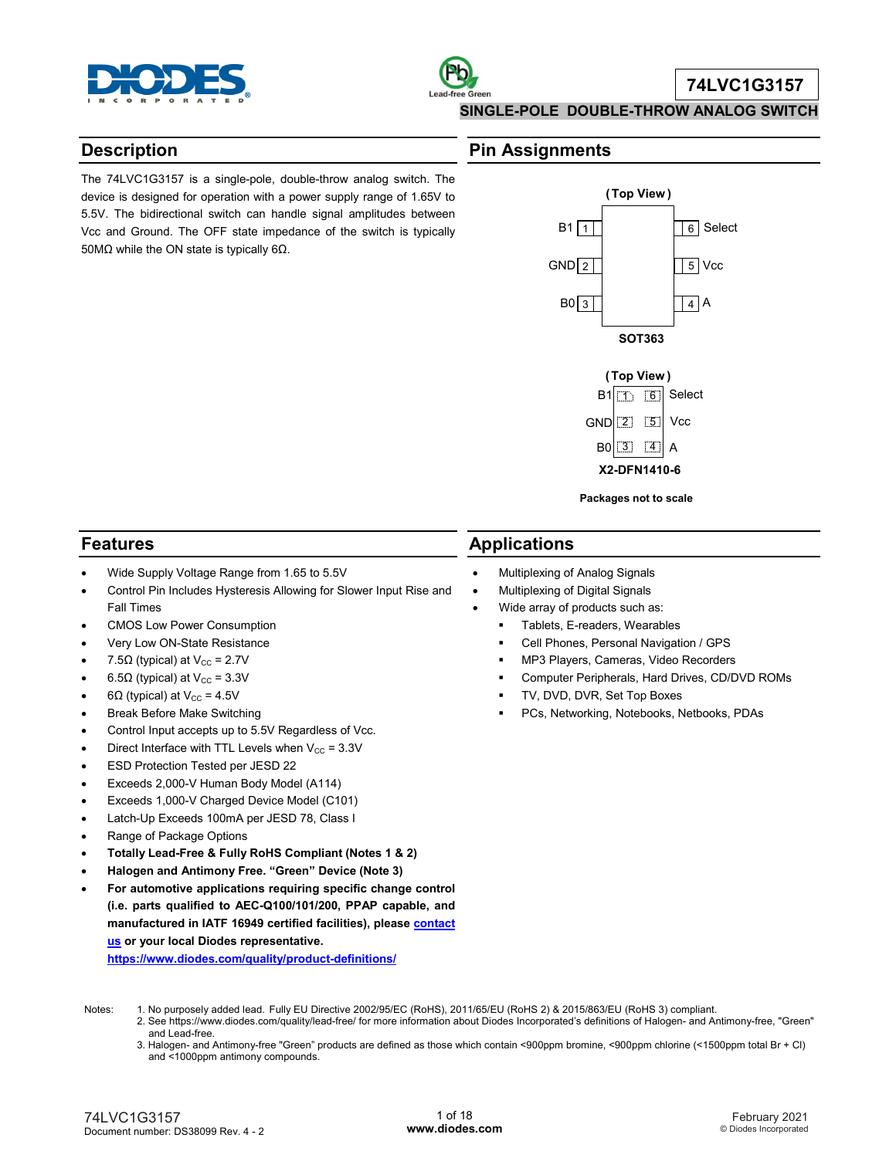

# **Description**

The 74LVC1G3157 is a single-pole, double-throw analog switch. The device is designed for operation with a power supply range of 1.65V to 5.5V. The bidirectional switch can handle signal amplitudes between Vcc and Ground. The OFF state impedance of the switch is typically 50MΩ while the ON state is typically 6Ω.

# **Pin Assignments**

**Applications**

• Multiplexing of Analog Signals • Multiplexing of Digital Signals Wide array of products such as: **Tablets, E-readers, Wearables** 





**Packages not to scale**

 Cell Phones, Personal Navigation / GPS MP3 Players, Cameras, Video Recorders

TV, DVD, DVR, Set Top Boxes

Computer Peripherals, Hard Drives, CD/DVD ROMs

PCs, Networking, Notebooks, Netbooks, PDAs

# **Features**

- Wide Supply Voltage Range from 1.65 to 5.5V
- Control Pin Includes Hysteresis Allowing for Slower Input Rise and Fall Times
- CMOS Low Power Consumption
- Very Low ON-State Resistance
- 7.5 $\Omega$  (typical) at V<sub>cc</sub> = 2.7V
- 6.5 $\Omega$  (typical) at V<sub>cc</sub> = 3.3V
- 6 $\Omega$  (typical) at V<sub>cc</sub> = 4.5V
- Break Before Make Switching
- Control Input accepts up to 5.5V Regardless of Vcc.
- Direct Interface with TTL Levels when  $V_{CC}$  = 3.3V
- ESD Protection Tested per JESD 22
- Exceeds 2,000-V Human Body Model (A114)
- Exceeds 1,000-V Charged Device Model (C101)
- Latch-Up Exceeds 100mA per JESD 78, Class I
- Range of Package Options
- **Totally Lead-Free & Fully RoHS Compliant (Notes 1 & 2)**
- **Halogen and Antimony Free. "Green" Device (Note 3)**
- **For automotive applications requiring specific change control (i.e. parts qualified to AEC-Q100/101/200, PPAP capable, and manufactured in IATF 16949 certified facilities), pleas[e contact](https://www.diodes.com/about/contact-us/)  [us](https://www.diodes.com/about/contact-us/) or your local Diodes representative.**

**<https://www.diodes.com/quality/product-definitions/>**

- Notes: 1. No purposely added lead. Fully EU Directive 2002/95/EC (RoHS), 2011/65/EU (RoHS 2) & 2015/863/EU (RoHS 3) compliant.
	- 2. See https://www.diodes.com/quality/lead-free/ for more information about Diodes Incorporated's definitions of Halogen- and Antimony-free, "Green" and Lead-free.
	- 3. Halogen- and Antimony-free "Green" products are defined as those which contain <900ppm bromine, <900ppm chlorine (<1500ppm total Br + Cl) and <1000ppm antimony compounds.

#### 74LVC1G3157 Document number: DS38099 Rev. 4 - 2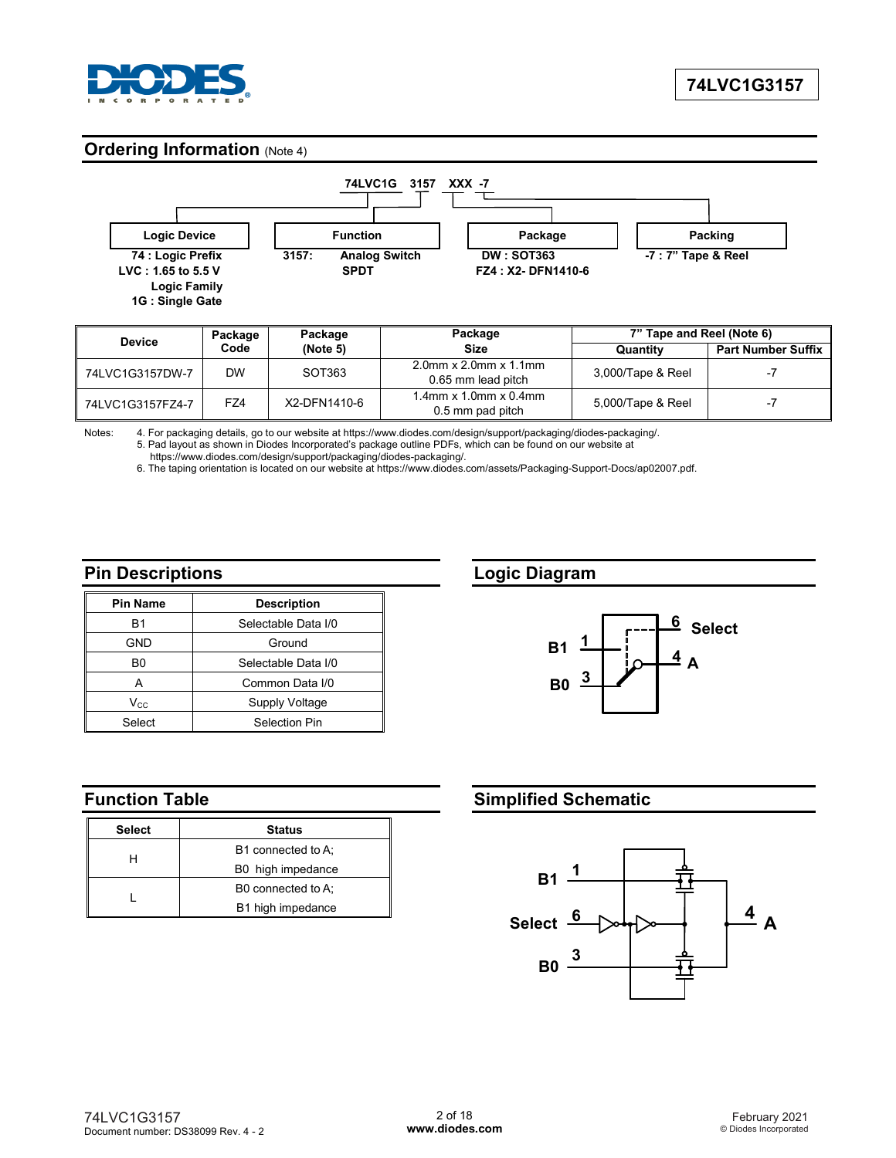

# **Ordering Information (Note 4)**



| <b>Device</b>    | Package | Package      | Package                                              | 7" Tape and Reel (Note 6) |                           |
|------------------|---------|--------------|------------------------------------------------------|---------------------------|---------------------------|
|                  | Code    | (Note 5)     | <b>Size</b>                                          | Quantity                  | <b>Part Number Suffix</b> |
| 74LVC1G3157DW-7  | DW      | SOT363       | $2.0$ mm x $2.0$ mm x $1.1$ mm<br>0.65 mm lead pitch | 3,000/Tape & Reel         |                           |
| 74LVC1G3157FZ4-7 | FZ4     | X2-DFN1410-6 | $1.4$ mm x $1.0$ mm x $0.4$ mm<br>0.5 mm pad pitch   | 5,000/Tape & Reel         |                           |

Notes: 4. For packaging details, go to our website at https://www.diodes.com/design/support/packaging/diodes-packaging/. 5. Pad layout as shown in Diodes Incorporated's package outline PDFs, which can be found on our website at

https://www.diodes.com/design/support/packaging/diodes-packaging/.

6. The taping orientation is located on our website at https://www.diodes.com/assets/Packaging-Support-Docs/ap02007.pdf.

## **Pin Descriptions**

| <b>Pin Name</b> | <b>Description</b>  |
|-----------------|---------------------|
| B1              | Selectable Data I/0 |
| GND             | Ground              |
| B0              | Selectable Data I/0 |
|                 | Common Data I/0     |
| $V_{CC}$        | Supply Voltage      |
| Select          | Selection Pin       |

# **Function Table**

| Select | <b>Status</b>      |
|--------|--------------------|
|        | B1 connected to A: |
|        | B0 high impedance  |
|        | B0 connected to A: |
|        | B1 high impedance  |

## **Logic Diagram**



# **Simplified Schematic**

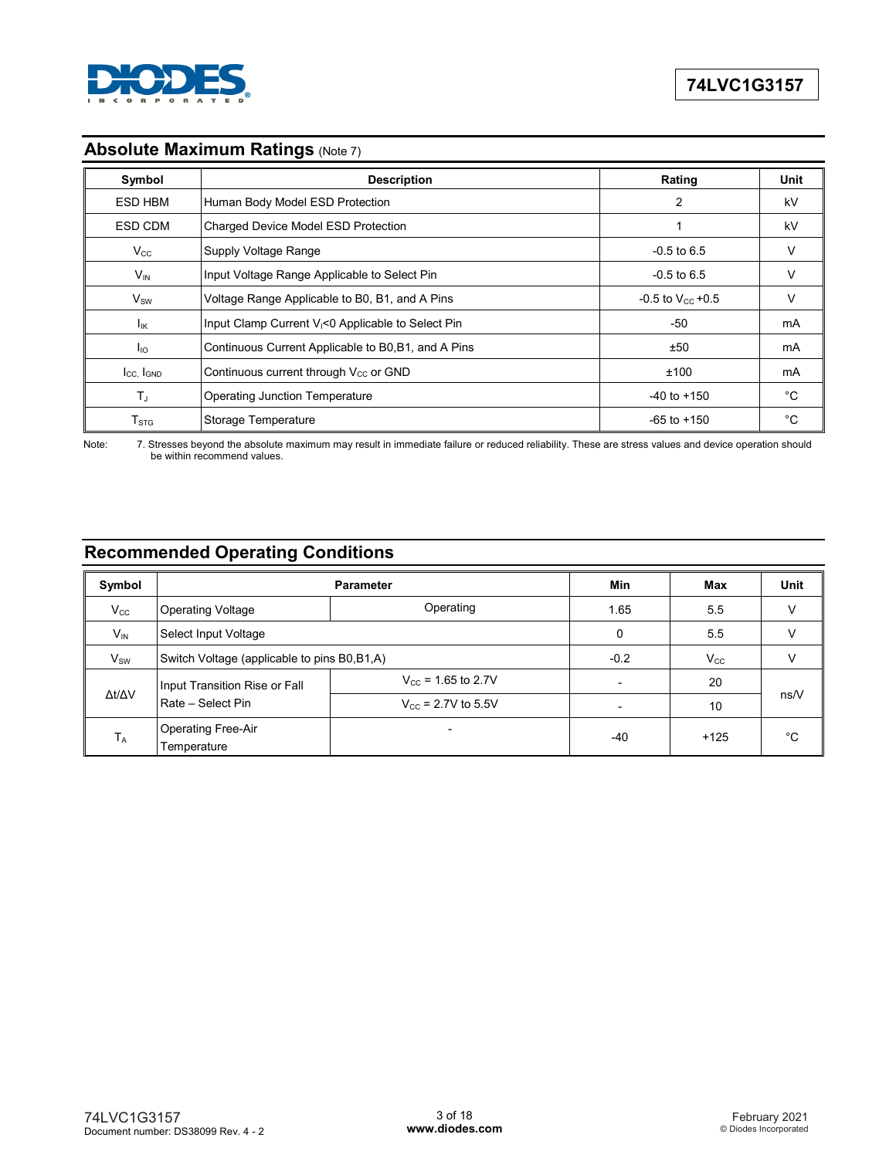

# **Absolute Maximum Ratings (Note 7)**

| Symbol                      | <b>Description</b>                                             | Rating                         | Unit |
|-----------------------------|----------------------------------------------------------------|--------------------------------|------|
| <b>ESD HBM</b>              | Human Body Model ESD Protection                                | 2                              | kV   |
| ESD CDM                     | Charged Device Model ESD Protection                            |                                | kV   |
| $V_{\rm CC}$                | Supply Voltage Range                                           | $-0.5$ to 6.5                  | v    |
| $V_{IN}$                    | Input Voltage Range Applicable to Select Pin                   | $-0.5$ to 6.5                  | v    |
| $\mathsf{V}_{\mathsf{SW}}$  | Voltage Range Applicable to B0, B1, and A Pins                 | $-0.5$ to V <sub>cc</sub> +0.5 | V    |
| <b>I<sub>IK</sub></b>       | Input Clamp Current V <sub>I</sub> <0 Applicable to Select Pin | $-50$                          | mA   |
| $I_{\text{IO}}$             | Continuous Current Applicable to B0, B1, and A Pins            | ±50                            | mA   |
| Icc, IGND                   | Continuous current through $V_{CC}$ or GND                     | ±100                           | mA   |
| TJ.                         | <b>Operating Junction Temperature</b>                          | $-40$ to $+150$                | °C   |
| $\mathsf{T}_{\texttt{STG}}$ | Storage Temperature                                            | $-65$ to $+150$                | °C   |

Note: 7. Stresses beyond the absolute maximum may result in immediate failure or reduced reliability. These are stress values and device operation should be within recommend values.

# **Recommended Operating Conditions**

| Symbol       |                                               | Min                            | Max                 | <b>Unit</b> |    |
|--------------|-----------------------------------------------|--------------------------------|---------------------|-------------|----|
| $V_{\rm CC}$ | <b>Operating Voltage</b>                      | Operating                      | 1.65                | 5.5         | v  |
| $V_{IN}$     | Select Input Voltage                          |                                | 0                   | 5.5         |    |
| $V_{SW}$     | Switch Voltage (applicable to pins B0, B1, A) | $-0.2$                         | $V_{\rm CC}$        |             |    |
|              | Input Transition Rise or Fall                 | $V_{\rm cc}$ = 1.65 to 2.7V    |                     | 20          |    |
| Δt/ΔV        | Rate - Select Pin                             | $V_{\text{cc}}$ = 2.7V to 5.5V | 10<br>$+125$<br>-40 | ns/V        |    |
| $T_A$        | <b>Operating Free-Air</b><br>Temperature      |                                |                     |             | °C |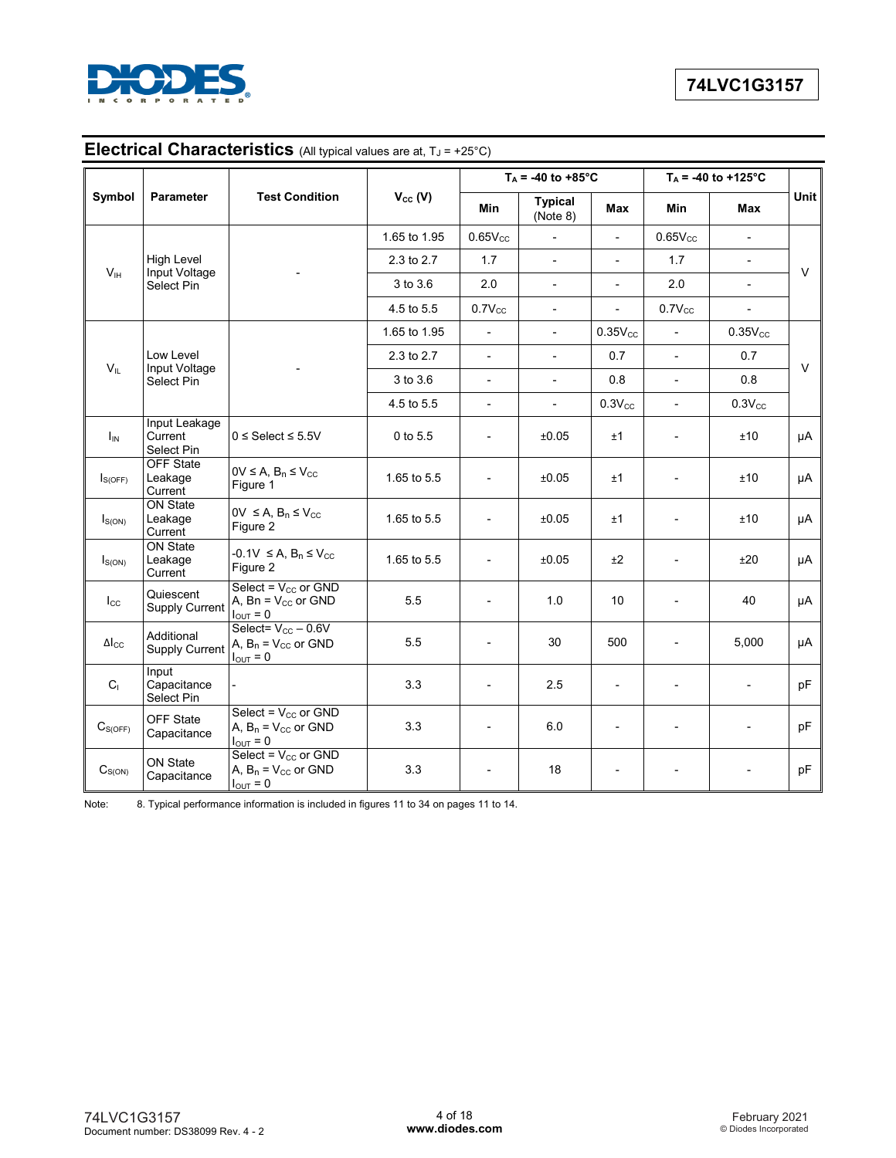

# **Electrical Characteristics** (All typical values are at,  $T_J = +25^{\circ}C$ )

|                     |                                        |                                                                              |              |                          | $T_A = -40$ to $+85^{\circ}$ C |                          |                          | $T_A$ = -40 to +125°C    |        |
|---------------------|----------------------------------------|------------------------------------------------------------------------------|--------------|--------------------------|--------------------------------|--------------------------|--------------------------|--------------------------|--------|
| Symbol              | Parameter                              | <b>Test Condition</b>                                                        | $V_{cc} (V)$ | Min                      | <b>Typical</b><br>(Note 8)     | Max                      | Min                      | Max                      | Unit   |
|                     |                                        |                                                                              | 1.65 to 1.95 | $0.65V_{CC}$             | $\overline{\phantom{a}}$       | $\blacksquare$           | $0.65V_{CC}$             | $\overline{\phantom{a}}$ |        |
|                     | High Level                             |                                                                              | 2.3 to 2.7   | 1.7                      | $\sim$                         | $\overline{\phantom{a}}$ | 1.7                      | $\overline{a}$           | $\vee$ |
| V <sub>IH</sub>     | Input Voltage<br>Select Pin            |                                                                              | 3 to 3.6     | 2.0                      | $\mathbf{r}$                   | $\overline{\phantom{0}}$ | 2.0                      | $\overline{\phantom{0}}$ |        |
|                     |                                        |                                                                              | 4.5 to 5.5   | $0.7V_{CC}$              | $\blacksquare$                 | $\blacksquare$           | $0.7V_{CC}$              | $\blacksquare$           |        |
|                     |                                        |                                                                              | 1.65 to 1.95 | $\overline{\phantom{a}}$ | $\overline{\phantom{a}}$       | $0.35V_{CC}$             | $\overline{\phantom{a}}$ | $0.35V_{CC}$             |        |
|                     | Low Level                              |                                                                              | 2.3 to 2.7   | $\overline{\phantom{a}}$ | $\blacksquare$                 | 0.7                      | $\overline{\phantom{a}}$ | 0.7                      |        |
| $V_{IL}$            | Input Voltage<br>Select Pin            |                                                                              | 3 to 3.6     | $\overline{\phantom{a}}$ | $\blacksquare$                 | 0.8                      | $\overline{\phantom{a}}$ | 0.8                      | $\vee$ |
|                     |                                        |                                                                              | 4.5 to 5.5   | $\overline{\phantom{a}}$ |                                | $0.3V_{CC}$              | $\overline{\phantom{a}}$ | $0.3V_{CC}$              |        |
| $I_{IN}$            | Input Leakage<br>Current<br>Select Pin | $0 \leq$ Select $\leq 5.5$ V                                                 | 0 to 5.5     | $\overline{a}$           | ±0.05                          | ±1                       |                          | ±10                      | μA     |
| $I_{S(OFF)}$        | <b>OFF State</b><br>Leakage<br>Current | $0V \leq A, B_n \leq V_{CC}$<br>Figure 1                                     | 1.65 to 5.5  | $\overline{\phantom{0}}$ | ±0.05                          | ±1                       | $\overline{\phantom{0}}$ | ±10                      | μA     |
| $I_{S(ON)}$         | <b>ON State</b><br>Leakage<br>Current  | $0V \leq A, B_n \leq V_{CC}$<br>Figure 2                                     | 1.65 to 5.5  | $\overline{\phantom{a}}$ | ±0.05                          | ±1                       |                          | ±10                      | μA     |
| $I_{S(ON)}$         | <b>ON State</b><br>Leakage<br>Current  | $-0.1V \leq A, B_n \leq V_{CC}$<br>Figure 2                                  | 1.65 to 5.5  |                          | ±0.05                          | ±2                       | $\overline{a}$           | ±20                      | μA     |
| $I_{\rm CC}$        | Quiescent<br><b>Supply Current</b>     | Select = $V_{CC}$ or GND<br>A, Bn = $V_{CC}$ or GND<br>$I_{\text{OUT}} = 0$  | 5.5          | $\overline{\phantom{a}}$ | 1.0                            | 10                       |                          | 40                       | μA     |
| $\Delta I_{\rm CC}$ | Additional<br><b>Supply Current</b>    | Select= $V_{CC}$ - 0.6V<br>A, $B_n = V_{CC}$ or GND<br>$I_{\text{OUT}} = 0$  | 5.5          |                          | 30                             | 500                      |                          | 5,000                    | μA     |
| $C_{\perp}$         | Input<br>Capacitance<br>Select Pin     |                                                                              | 3.3          |                          | 2.5                            |                          |                          |                          | pF     |
| $C_{S(OFF)}$        | OFF State<br>Capacitance               | Select = $V_{CC}$ or GND<br>A, $B_n = V_{CC}$ or GND<br>$I_{\text{OUT}} = 0$ | 3.3          |                          | 6.0                            | $\overline{\phantom{0}}$ |                          |                          | pF     |
| $C_{S(ON)}$         | ON State<br>Capacitance                | Select = $V_{CC}$ or GND<br>A, $B_n = V_{CC}$ or GND<br>$I_{\text{OUT}} = 0$ | 3.3          |                          | 18                             |                          |                          |                          | pF     |

Note: 8. Typical performance information is included in figures 11 to 34 on pages 11 to 14.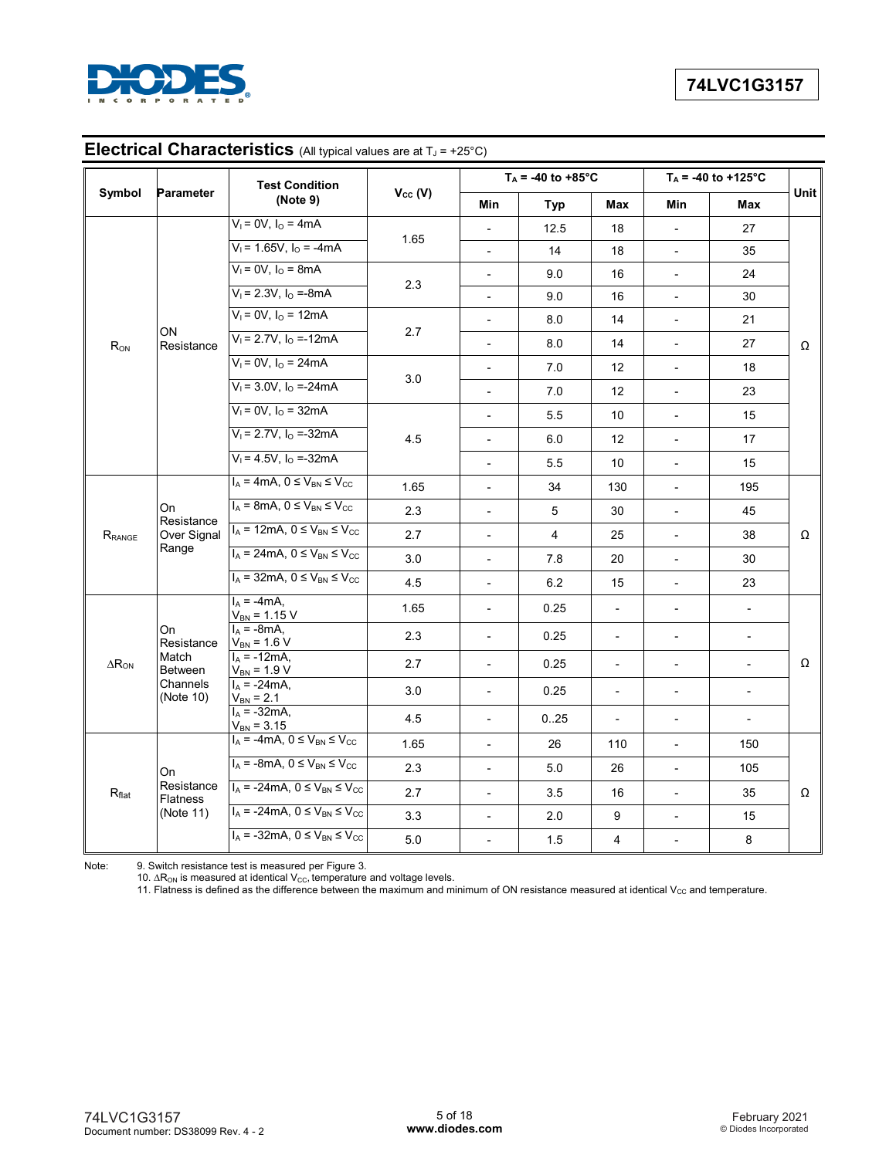

|                        |                               | <b>Test Condition</b>                           |                |                          | $T_A = -40$ to +85°C |                          |                          | $\overline{T_A}$ = -40 to +125°C |             |
|------------------------|-------------------------------|-------------------------------------------------|----------------|--------------------------|----------------------|--------------------------|--------------------------|----------------------------------|-------------|
| Symbol                 | <b>Parameter</b>              | (Note 9)                                        | $V_{cc}$ (V)   | <b>Min</b>               | <b>Typ</b>           | <b>Max</b>               | <b>Min</b>               | Max                              | <b>Unit</b> |
|                        |                               | $V_1 = 0V$ , $I_0 = 4mA$                        |                |                          | 12.5                 | 18                       |                          | 27                               |             |
|                        | $V_1$ = 1.65V, $I_0$ = -4mA   | 1.65                                            | $\overline{a}$ | 14                       | 18                   |                          | 35                       |                                  |             |
|                        |                               | $V_1 = 0V$ , $I_0 = 8mA$                        |                | $\blacksquare$           | 9.0                  | 16                       | $\overline{\phantom{a}}$ | 24                               |             |
|                        |                               | $V_1 = 2.3V$ , $I_0 = -8mA$                     | 2.3            |                          | 9.0                  | 16                       |                          | 30                               |             |
|                        |                               | $V_1 = 0V$ , $I_0 = 12mA$                       |                | $\blacksquare$           | 8.0                  | 14                       | $\overline{\phantom{a}}$ | 21                               |             |
| $R_{ON}$               | ON<br>Resistance              | $V_1 = 2.7V$ , $I_0 = -12mA$                    | 2.7            | $\overline{\phantom{0}}$ | 8.0                  | 14                       | $\overline{\phantom{0}}$ | 27                               | Ω           |
|                        |                               | $V_1 = 0V$ , $I_0 = 24mA$                       |                | $\overline{\phantom{0}}$ | 7.0                  | 12                       | $\overline{\phantom{a}}$ | 18                               |             |
|                        |                               | $V_1 = 3.0V$ , $I_0 = -24mA$                    | 3.0            | $\overline{\phantom{m}}$ | 7.0                  | 12                       | $\overline{\phantom{a}}$ | 23                               |             |
|                        |                               | $V_1 = 0V$ , $I_0 = 32mA$                       |                | $\overline{a}$           | 5.5                  | 10                       |                          | 15                               |             |
|                        |                               | $V_1 = 2.7V$ , $I_0 = -32mA$                    | 4.5            | $\blacksquare$           | 6.0                  | 12                       | $\overline{\phantom{0}}$ | 17                               |             |
|                        |                               | $V_1 = 4.5V$ , $I_0 = -32mA$                    |                | $\overline{a}$           | 5.5                  | 10                       |                          | 15                               |             |
|                        |                               | $I_A = 4mA$ , $0 \leq V_{BN} \leq V_{CC}$       | 1.65           | $\overline{\phantom{a}}$ | 34                   | 130                      | $\blacksquare$           | 195                              |             |
|                        | On                            | $I_A$ = 8mA, $0 \le V_{BN} \le V_{CC}$          | 2.3            | $\overline{\phantom{a}}$ | 5                    | 30                       | $\overline{\phantom{0}}$ | 45                               |             |
| $R_{\rm RANGE}$        | Resistance<br>Over Signal     | $I_A = 12mA$ , $0 \le V_{BN} \le V_{CC}$        | 2.7            | $\overline{a}$           | $\overline{4}$       | 25                       | $\overline{\phantom{0}}$ | 38                               | Ω           |
|                        | Range                         | $I_A = 24 \text{mA}, 0 \leq V_{BN} \leq V_{CC}$ | 3.0            | $\blacksquare$           | 7.8                  | 20                       | $\overline{\phantom{a}}$ | 30                               |             |
|                        |                               | $I_A$ = 32mA, $0 \le V_{BN} \le V_{CC}$         | 4.5            | $\overline{a}$           | 6.2                  | 15                       |                          | 23                               |             |
|                        |                               | $I_A = -4mA$ ,<br>$V_{BN} = 1.15 V$             | 1.65           | $\blacksquare$           | 0.25                 | $\blacksquare$           | $\overline{\phantom{a}}$ | $\blacksquare$                   |             |
|                        | On<br>Resistance              | $I_A = -8mA,$<br>$V_{BN}$ = 1.6 V               | 2.3            | $\overline{\phantom{a}}$ | 0.25                 | $\overline{\phantom{a}}$ | $\blacksquare$           | $\overline{\phantom{0}}$         |             |
| $\Delta R_{\text{ON}}$ | Match<br><b>Between</b>       | $I_A = -12mA$<br>$V_{BN} = 1.9 V$               | 2.7            | $\blacksquare$           | 0.25                 | $\overline{\phantom{a}}$ | $\overline{\phantom{a}}$ | $\blacksquare$                   | Ω           |
|                        | Channels<br>(Note 10)         | $I_A = -24mA$ ,<br>$V_{BN} = 2.1$               | 3.0            | $\overline{\phantom{a}}$ | 0.25                 | $\overline{\phantom{a}}$ | $\overline{\phantom{a}}$ | $\overline{\phantom{0}}$         |             |
|                        |                               | $I_A = -32mA$<br>$V_{BN} = 3.15$                | 4.5            | $\overline{\phantom{a}}$ | 0.25                 | $\overline{\phantom{a}}$ | $\overline{\phantom{a}}$ | $\overline{a}$                   |             |
|                        |                               | $I_A = -4mA$ , $0 \leq V_{BN} \leq V_{CC}$      | 1.65           | $\overline{\phantom{m}}$ | 26                   | 110                      | $\overline{\phantom{a}}$ | 150                              |             |
|                        | On                            | $I_A$ = -8mA, $0 \le V_{BN} \le V_{CC}$         | 2.3            | $\overline{a}$           | 5.0                  | 26                       |                          | 105                              |             |
| R <sub>flat</sub>      | Resistance<br><b>Flatness</b> | $I_A$ = -24mA, $0 \le V_{BN} \le V_{CC}$        | 2.7            | $\overline{\phantom{a}}$ | 3.5                  | 16                       | $\overline{\phantom{a}}$ | 35                               | Ω           |
|                        | (Note 11)                     | $I_A$ = -24mA, $0 \le V_{BN} \le V_{CC}$        | 3.3            | $\overline{a}$           | 2.0                  | 9                        | $\overline{\phantom{0}}$ | 15                               |             |
|                        |                               | $I_A$ = -32mA, $0 \le V_{BN} \le V_{CC}$        | 5.0            | $\overline{\phantom{a}}$ | 1.5                  | 4                        | $\overline{\phantom{a}}$ | 8                                |             |

# **Electrical Characteristics** (All typical values are at T<sub>J</sub> = +25°C)

Note: 9. Switch resistance test is measured per Figure 3.

10.  $\Delta R_{ON}$  is measured at identical V<sub>CC</sub>, temperature and voltage levels.

11. Flatness is defined as the difference between the maximum and minimum of ON resistance measured at identical V $_{\rm CC}$  and temperature.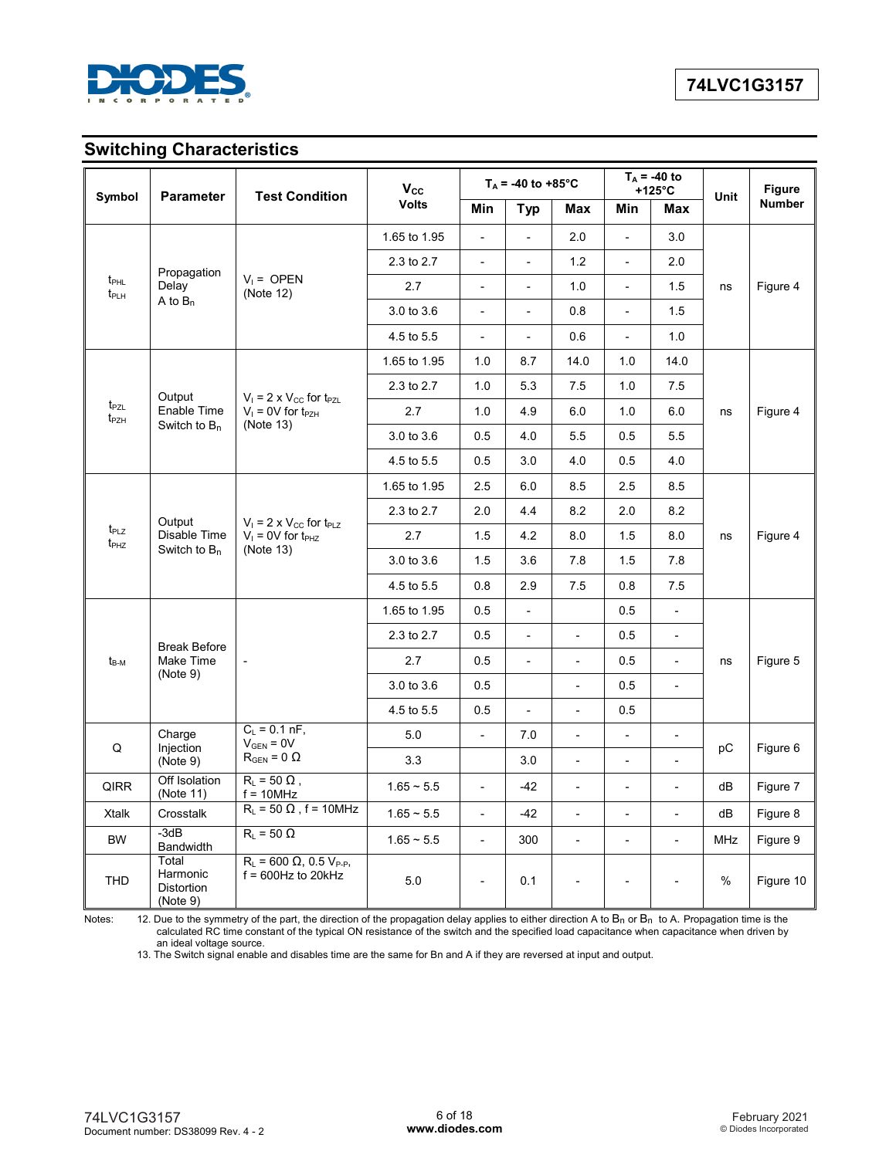

# **Switching Characteristics**

| Symbol                               | <b>Parameter</b>                            | <b>Test Condition</b>                                      | $V_{\rm CC}$             |                          | $T_A$ = -40 to +85°C     |                              |                          | $T_A$ = -40 to<br>$+125^{\circ}$ C | Unit       | <b>Figure</b> |
|--------------------------------------|---------------------------------------------|------------------------------------------------------------|--------------------------|--------------------------|--------------------------|------------------------------|--------------------------|------------------------------------|------------|---------------|
|                                      |                                             |                                                            | <b>Volts</b>             | Min                      | <b>Typ</b>               | Max                          | Min                      | Max                                |            | <b>Number</b> |
| Propagation                          |                                             | 1.65 to 1.95                                               | $\blacksquare$           | $\overline{\phantom{a}}$ | 2.0                      | $\bar{\phantom{a}}$          | 3.0                      |                                    |            |               |
|                                      |                                             | 2.3 to 2.7                                                 | $\overline{\phantom{a}}$ | $\overline{\phantom{a}}$ | 1.2                      | $\overline{a}$               | 2.0                      |                                    |            |               |
| $t_{\text{PHL}}$<br>t <sub>PLH</sub> | Delay                                       | $V_1 =$ OPEN<br>(Note 12)                                  | 2.7                      | $\overline{\phantom{a}}$ | $\overline{\phantom{a}}$ | 1.0                          | $\overline{\phantom{a}}$ | 1.5                                | ns         | Figure 4      |
|                                      | A to $B_n$                                  |                                                            | 3.0 to 3.6               | $\overline{\phantom{a}}$ | $\overline{a}$           | 0.8                          | $\bar{a}$                | 1.5                                |            |               |
|                                      |                                             |                                                            | 4.5 to 5.5               | $\blacksquare$           | $\overline{\phantom{a}}$ | 0.6                          | $\overline{\phantom{a}}$ | 1.0                                |            |               |
|                                      |                                             |                                                            | 1.65 to 1.95             | 1.0                      | 8.7                      | 14.0                         | 1.0                      | 14.0                               |            |               |
|                                      | Output                                      | $V_1 = 2 \times V_{CC}$ for $t_{PZL}$                      | 2.3 to 2.7               | 1.0                      | 5.3                      | 7.5                          | 1.0                      | 7.5                                |            |               |
| t <sub>PZL</sub><br>t <sub>PZH</sub> | Enable Time                                 | $V_1 = 0V$ for $t_{PZH}$                                   | 2.7                      | 1.0                      | 4.9                      | 6.0                          | 1.0                      | 6.0                                | ns         | Figure 4      |
|                                      | Switch to $B_n$                             | (Note 13)                                                  | 3.0 to 3.6               | 0.5                      | 4.0                      | 5.5                          | 0.5                      | 5.5                                |            |               |
|                                      |                                             |                                                            | 4.5 to 5.5               | 0.5                      | 3.0                      | 4.0                          | 0.5                      | 4.0                                |            |               |
|                                      |                                             | $V_1 = 2 \times V_{CC}$ for $t_{PLZ}$                      | 1.65 to 1.95             | 2.5                      | 6.0                      | 8.5                          | 2.5                      | 8.5                                |            |               |
|                                      | Output                                      |                                                            | 2.3 to 2.7               | 2.0                      | 4.4                      | 8.2                          | 2.0                      | 8.2                                | ns         |               |
| t <sub>PLZ</sub><br>$t_{PHZ}$        | Disable Time                                | $V_1 = 0V$ for $t_{PHZ}$                                   | 2.7                      | 1.5                      | 4.2                      | 8.0                          | 1.5                      | 8.0                                |            | Figure 4      |
|                                      | Switch to $B_n$                             | (Note 13)                                                  | 3.0 to 3.6               | 1.5                      | 3.6                      | 7.8                          | 1.5                      | 7.8                                |            |               |
|                                      |                                             |                                                            | 4.5 to 5.5               | 0.8                      | 2.9                      | 7.5                          | 0.8                      | 7.5                                |            |               |
|                                      |                                             |                                                            | 1.65 to 1.95             | 0.5                      | $\overline{\phantom{a}}$ |                              | 0.5                      | $\overline{\phantom{a}}$           |            |               |
|                                      | <b>Break Before</b>                         |                                                            | 2.3 to 2.7               | 0.5                      | $\blacksquare$           | $\overline{\phantom{a}}$     | 0.5                      | $\overline{\phantom{a}}$           |            |               |
| $t_{\rm B-M}$                        | Make Time                                   | $\overline{\phantom{a}}$                                   | 2.7                      | 0.5                      | $\blacksquare$           | $\overline{a}$               | 0.5                      | $\blacksquare$                     | ns         | Figure 5      |
|                                      | (Note 9)                                    |                                                            | 3.0 to 3.6               | 0.5                      |                          | $\overline{\phantom{a}}$     | 0.5                      | $\overline{\phantom{a}}$           |            |               |
|                                      |                                             |                                                            | 4.5 to 5.5               | 0.5                      | $\overline{\phantom{0}}$ | $\overline{\phantom{a}}$     | 0.5                      |                                    |            |               |
| Q                                    | Charge<br>Injection                         | $C_L = 0.1 \text{ nF}$ ,<br>$V_{GEN} = 0V$                 | 5.0                      | $\overline{\phantom{a}}$ | 7.0                      | $\qquad \qquad \blacksquare$ | $\overline{\phantom{a}}$ | $\qquad \qquad \blacksquare$       | рC         | Figure 6      |
|                                      | (Note 9)                                    | $R_{\text{GEN}} = 0 \Omega$                                | 3.3                      |                          | 3.0                      | $\overline{\phantom{a}}$     | $\overline{\phantom{a}}$ | $\overline{\phantom{a}}$           |            |               |
| <b>QIRR</b>                          | Off Isolation<br>(Note 11)                  | $R_{L}$ = 50 $\Omega$ ,<br>$f = 10 MHz$                    | $1.65 - 5.5$             | $\overline{\phantom{a}}$ | $-42$                    | $\overline{\phantom{a}}$     | $\overline{\phantom{a}}$ | $\overline{\phantom{m}}$           | dB         | Figure 7      |
| <b>Xtalk</b>                         | Crosstalk                                   | $R_L$ = 50 $\Omega$ , f = 10MHz                            | $1.65 - 5.5$             | $\overline{a}$           | $-42$                    | $\overline{a}$               | $\overline{a}$           | $\frac{1}{2}$                      | dB         | Figure 8      |
| <b>BW</b>                            | $-3dB$<br>Bandwidth                         | $R_{L}$ = 50 $\Omega$                                      | $1.65 - 5.5$             | $\overline{\phantom{a}}$ | 300                      | $\overline{\phantom{a}}$     | $\overline{\phantom{a}}$ | $\overline{\phantom{a}}$           | <b>MHz</b> | Figure 9      |
| <b>THD</b>                           | Total<br>Harmonic<br>Distortion<br>(Note 9) | $R_{L} = 600 \Omega, 0.5 V_{P-P}$<br>$f = 600$ Hz to 20kHz | 5.0                      | $\overline{\phantom{a}}$ | 0.1                      | $\overline{\phantom{a}}$     | $\overline{\phantom{a}}$ |                                    | %          | Figure 10     |

Notes: 12. Due to the symmetry of the part, the direction of the propagation delay applies to either direction A to  $B_n$  or  $B_n$  to A. Propagation time is the calculated RC time constant of the typical ON resistance of the switch and the specified load capacitance when capacitance when driven by an ideal voltage source.

13. The Switch signal enable and disables time are the same for Bn and A if they are reversed at input and output.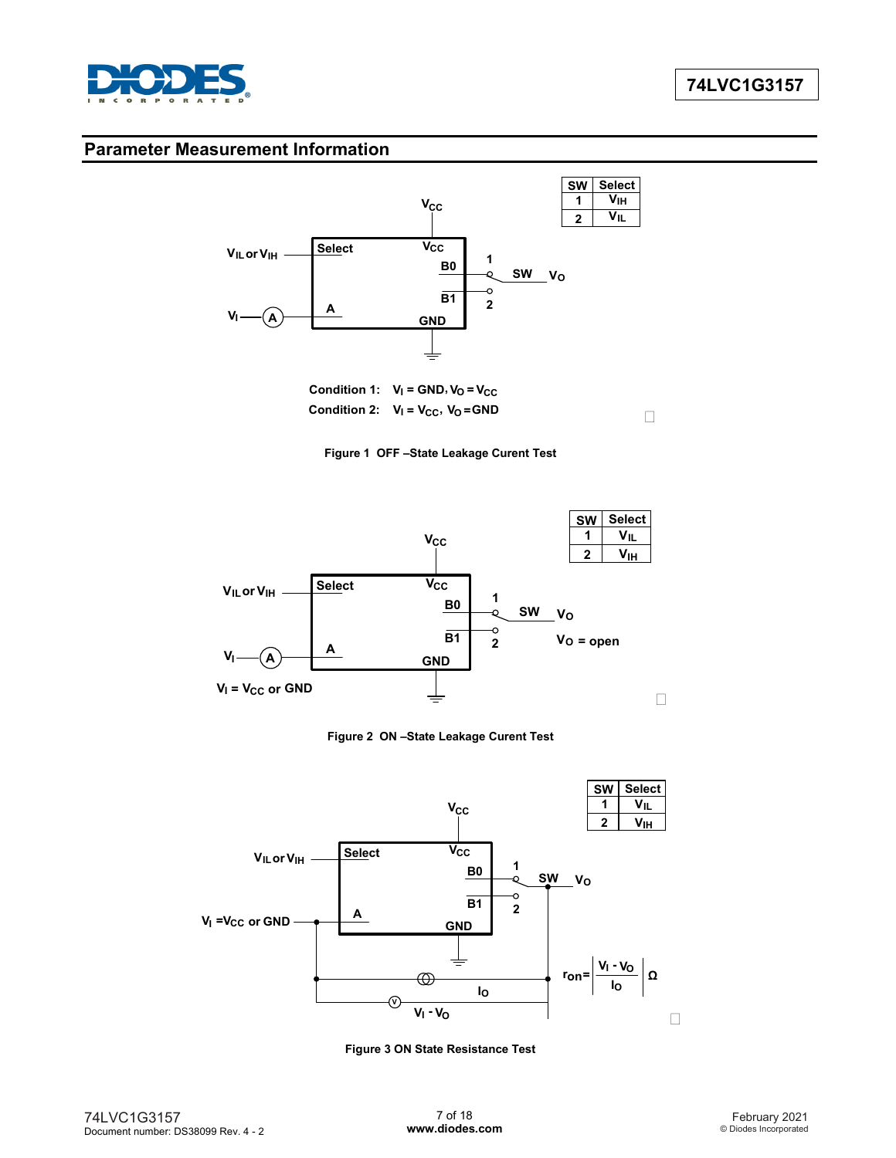

## **Parameter Measurement Information**



**Condition 2:**  $V_1 = V_{CC}$ ,  $V_0 = GND$ **Condition 1:**  $V_1 = GND, V_0 = V_{CC}$ 



**Figure 1 OFF –State Leakage Curent Test**



**Figure 2 ON –State Leakage Curent Test**



**Figure 3 ON State Resistance Test**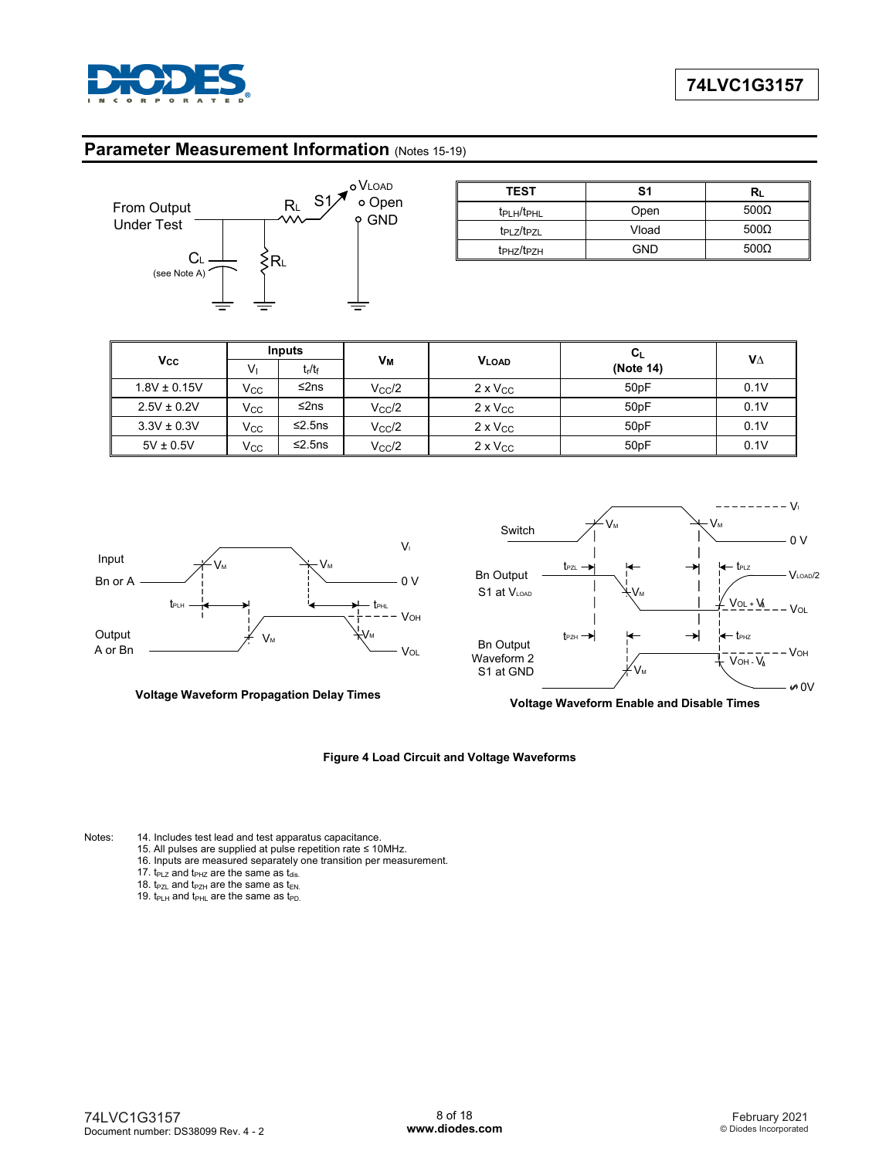

#### **Parameter Measurement Information (Notes 15-19)**



| O VLOAD<br>S <sub>1</sub> | <b>TEST</b>                        | S1    | R∟           |
|---------------------------|------------------------------------|-------|--------------|
| o Open<br><b>GND</b>      | $t_{\rm PLH}/t_{\rm PHL}$          | Open  | 500 $\Omega$ |
|                           | t <sub>PLZ</sub> /t <sub>PZL</sub> | Vload | 500 $\Omega$ |
|                           | t <sub>PHZ</sub> /t <sub>PZH</sub> | GND   | 500 $\Omega$ |

|                  | <b>Inputs</b> |                                |                 |                   | $\mathbf{C}_{\mathsf{L}}$ |      |
|------------------|---------------|--------------------------------|-----------------|-------------------|---------------------------|------|
| <b>Vcc</b>       | Vı            | t <sub>r</sub> /t <sub>f</sub> | Vм              | VLOAD             | (Note 14)                 | VΔ   |
| $1.8V \pm 0.15V$ | Vcc           | ≤2ns                           | $V_{\rm CC}$ /2 | $2 \times V_{CC}$ | 50pF                      | 0.1V |
| $2.5V \pm 0.2V$  | Vcc           | ≤2ns                           | $V_{\rm CC}$ /2 | $2 \times V_{CC}$ | 50pF                      | 0.1V |
| $3.3V \pm 0.3V$  | Vcc           | ≤2.5ns                         | $V_{\rm CC}$ /2 | $2 \times V_{CC}$ | 50pF                      | 0.1V |
| $5V \pm 0.5V$    | Vcc           | ≤2.5ns                         | $V_{\rm CC}$ /2 | $2 \times V_{CC}$ | 50pF                      | 0.1V |



**Voltage Waveform Propagation Delay Times**



**Voltage Waveform Enable and Disable Times**

#### **Figure 4 Load Circuit and Voltage Waveforms**

Notes: 14. Includes test lead and test apparatus capacitance.

- 15. All pulses are supplied at pulse repetition rate ≤ 10MHz.
- 16. Inputs are measured separately one transition per measurement.
- 17.  $t_{PIZ}$  and  $t_{PIZ}$  are the same as  $t_{dis}$ .
- 18.  $t_{PZL}$  and  $t_{PZH}$  are the same as  $t_{EN}$ .
- 19.  $t_{\text{PLH}}$  and  $t_{\text{PHL}}$  are the same as  $t_{\text{PD}}$ .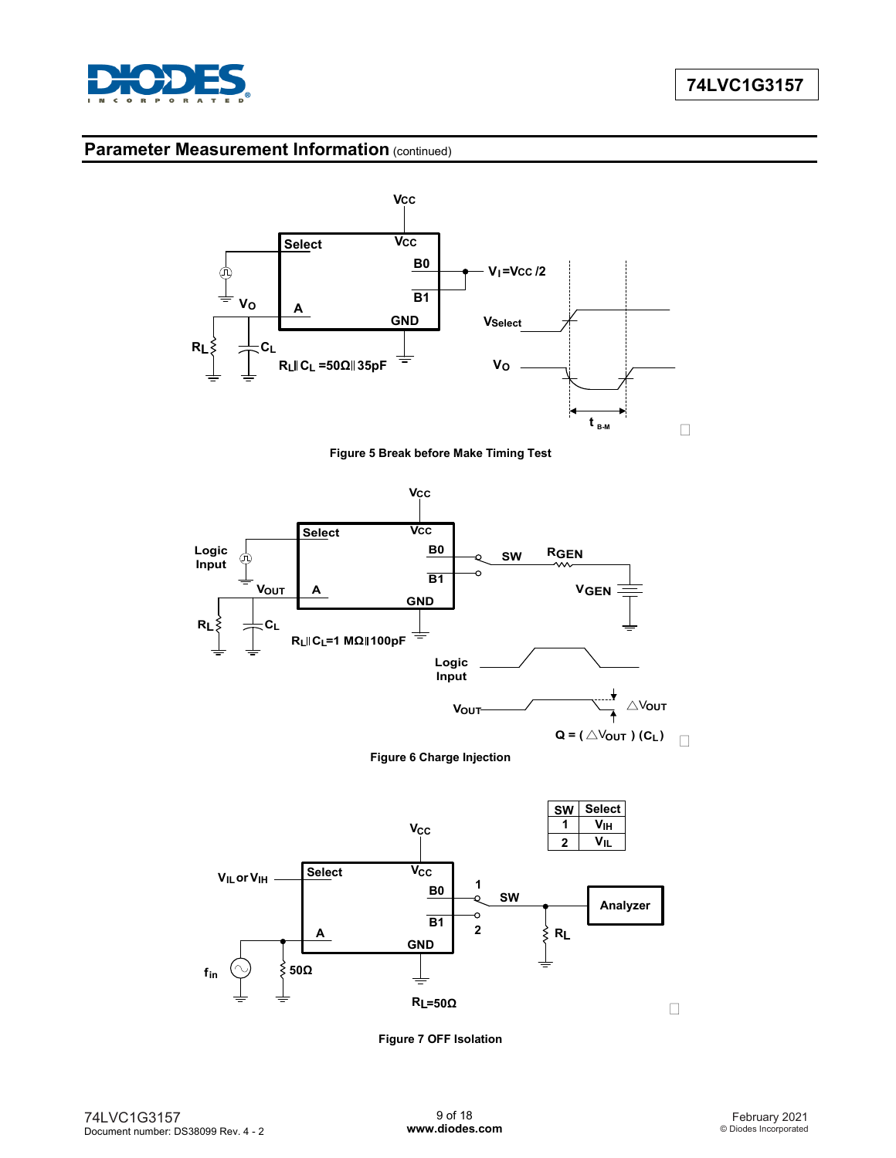

## **Parameter Measurement Information (continued)**







**Figure 6 Charge Injection**



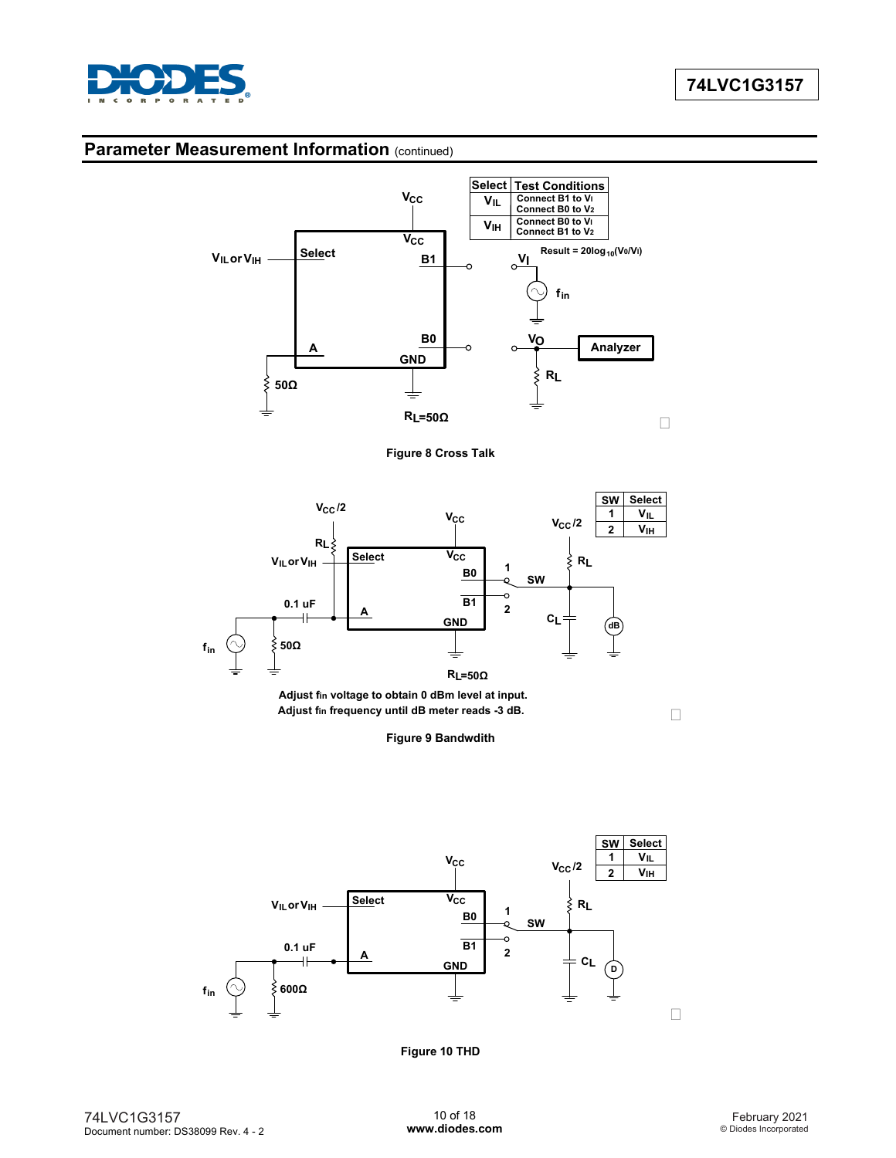

### **Parameter Measurement Information (continued)**



**Figure 8 Cross Talk**



**Adjust fin voltage to obtain 0 dBm level at input. Adjust fin frequency until dB meter reads -3 dB.**

 $\Box$ 

**Figure 9 Bandwdith**



**Figure 10 THD**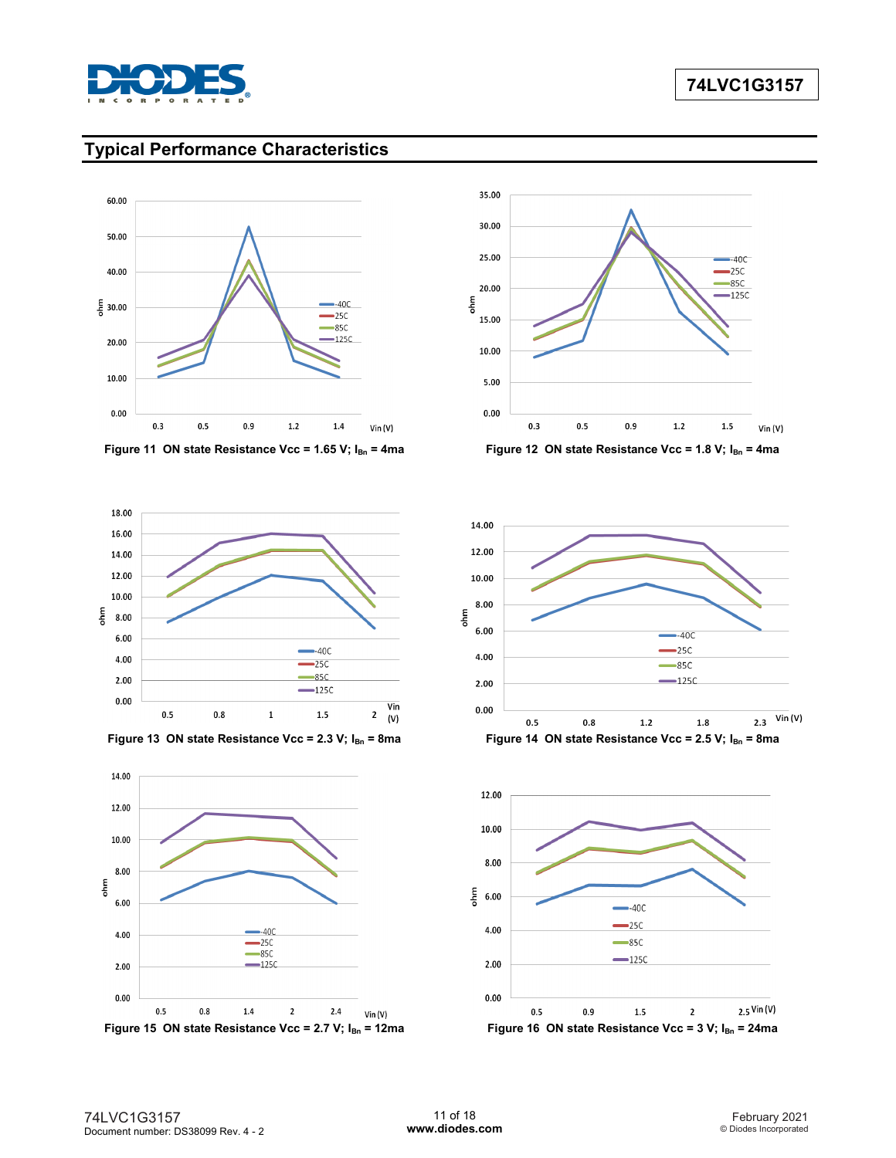

# **Typical Performance Characteristics**















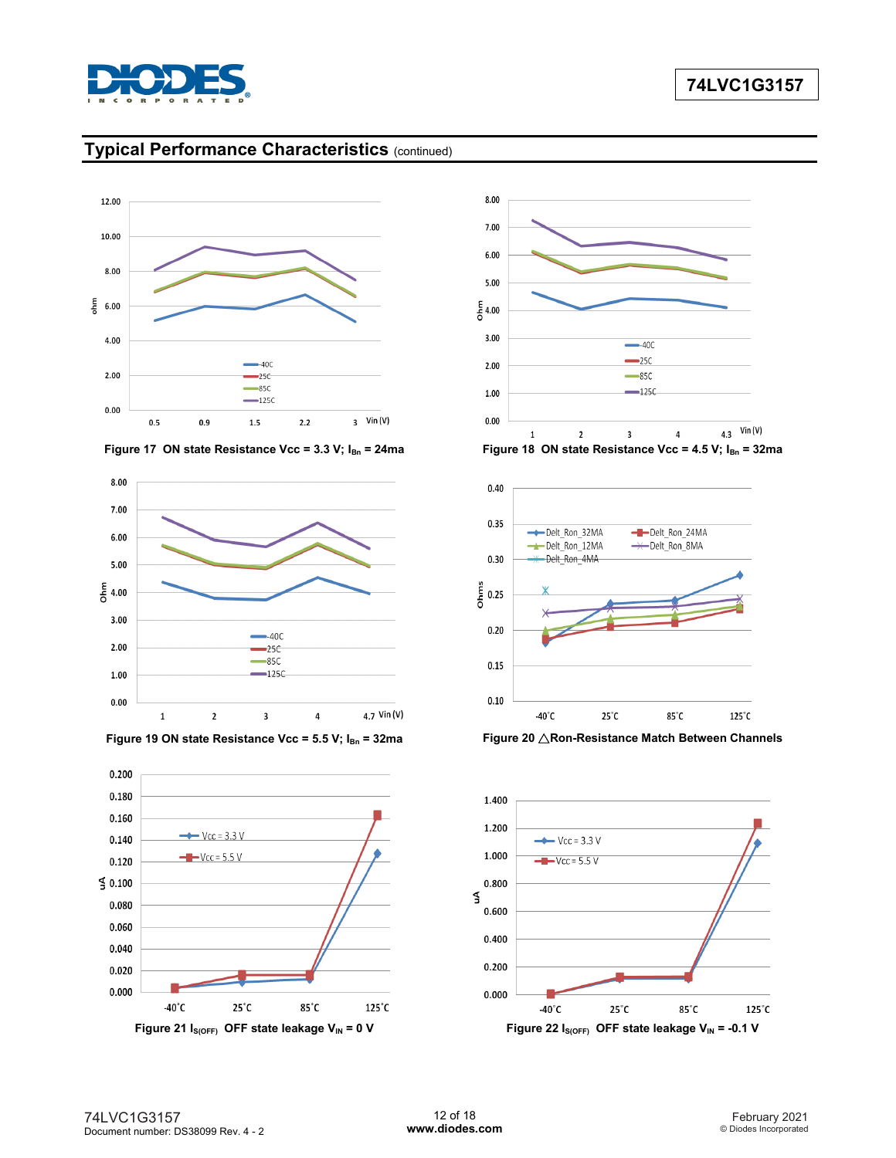

# **Typical Performance Characteristics** (continued)

















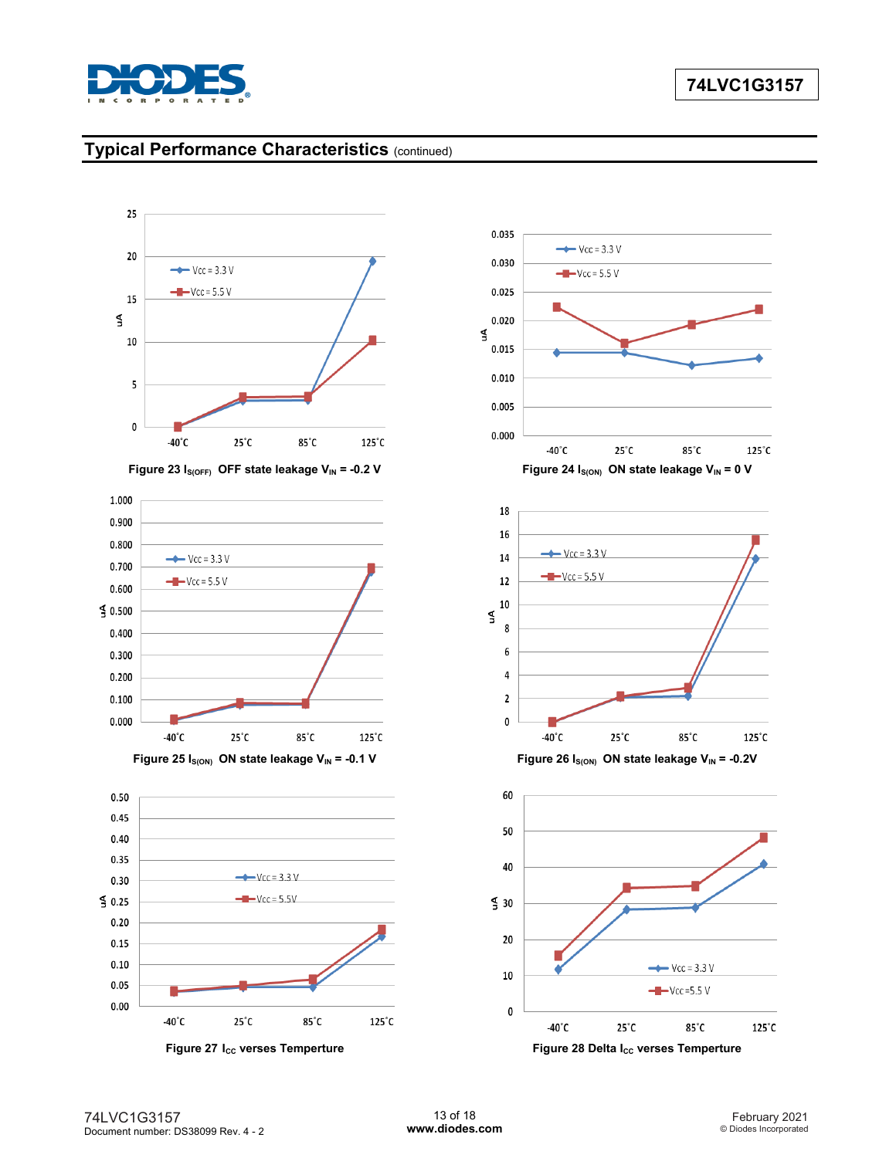

# **Typical Performance Characteristics** (continued)









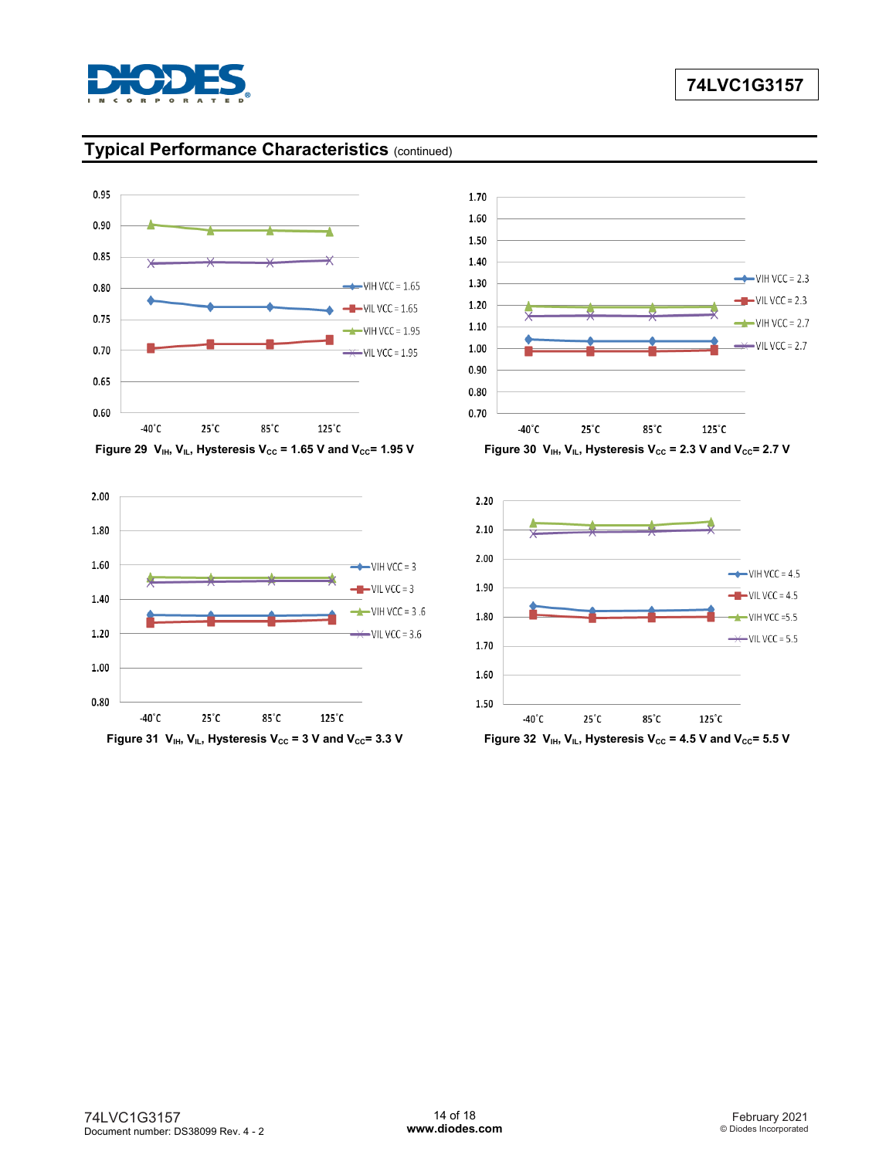

# **Typical Performance Characteristics** (continued)















Figure 31  $V_{IH}$ ,  $V_{IL}$ , Hysteresis  $V_{CC}$  = 3 V and  $V_{CC}$ = 3.3 V **Figure 32**  $V_{IH}$ ,  $V_{IL}$ , Hysteresis  $V_{CC}$  = 4.5 V and  $V_{CC}$ = 5.5 V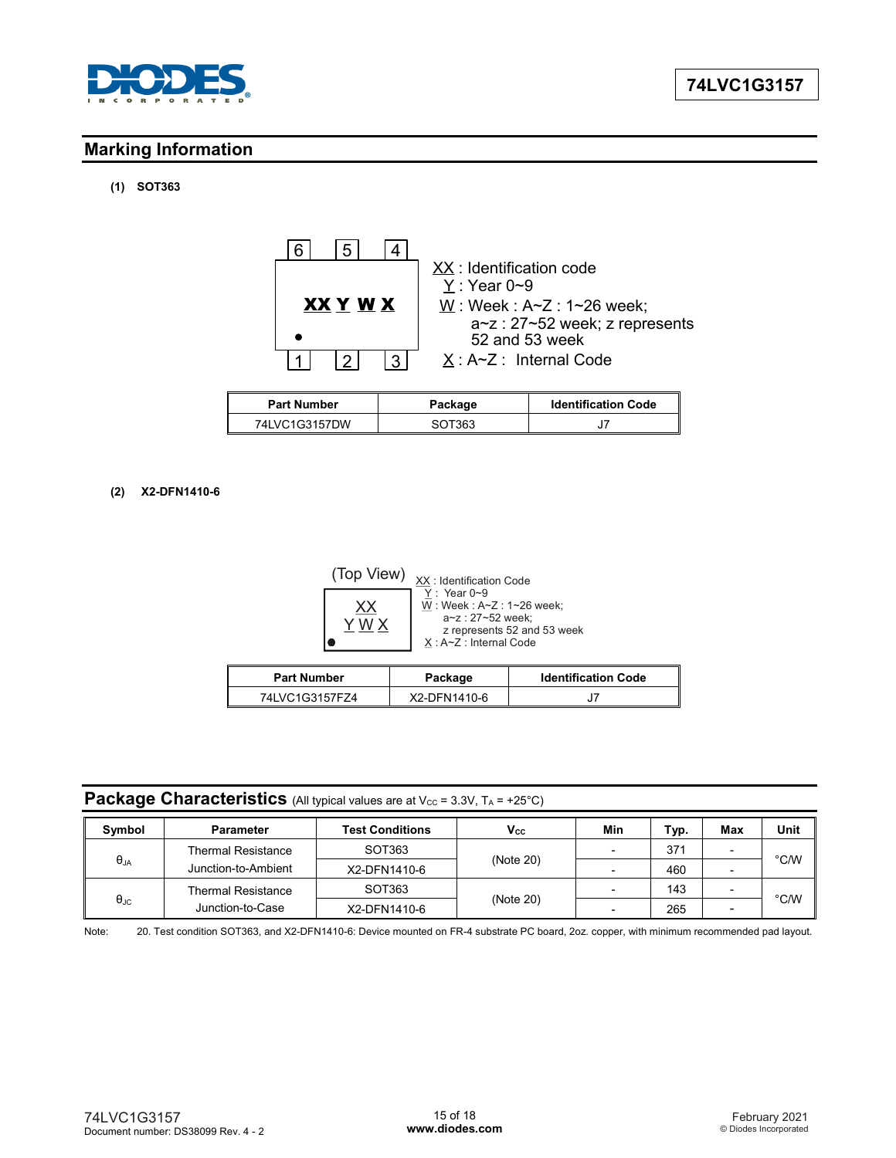

# **Marking Information**

## **(1) SOT363**



| <b>Part Number</b> | Package | <b>Identification Code</b> |
|--------------------|---------|----------------------------|
| 74LVC1G3157DW      | SOT363  |                            |

#### **(2) X2-DFN1410-6**



### **Package Characteristics** (All typical values are at  $V_{CC}$  = 3.3V,  $T_A$  = +25°C)

| Symbol               | <b>Parameter</b>          | <b>Test Conditions</b>    | $V_{\rm cc}$ | Min                      | Typ. | Max | Unit |  |
|----------------------|---------------------------|---------------------------|--------------|--------------------------|------|-----|------|--|
|                      | <b>Thermal Resistance</b> | SOT363                    |              |                          | 371  |     |      |  |
| $\theta_{JA}$        | Junction-to-Ambient       | (Note 20)<br>X2-DFN1410-6 |              |                          | 460  |     | °C/W |  |
|                      | <b>Thermal Resistance</b> | SOT363                    |              |                          | 143  |     |      |  |
| $\theta_{\text{JC}}$ | Junction-to-Case          | X2-DFN1410-6              | (Note 20)    | $\overline{\phantom{0}}$ | 265  |     | °C/W |  |

Note: 20. Test condition SOT363, and X2-DFN1410-6: Device mounted on FR-4 substrate PC board, 2oz. copper, with minimum recommended pad layout.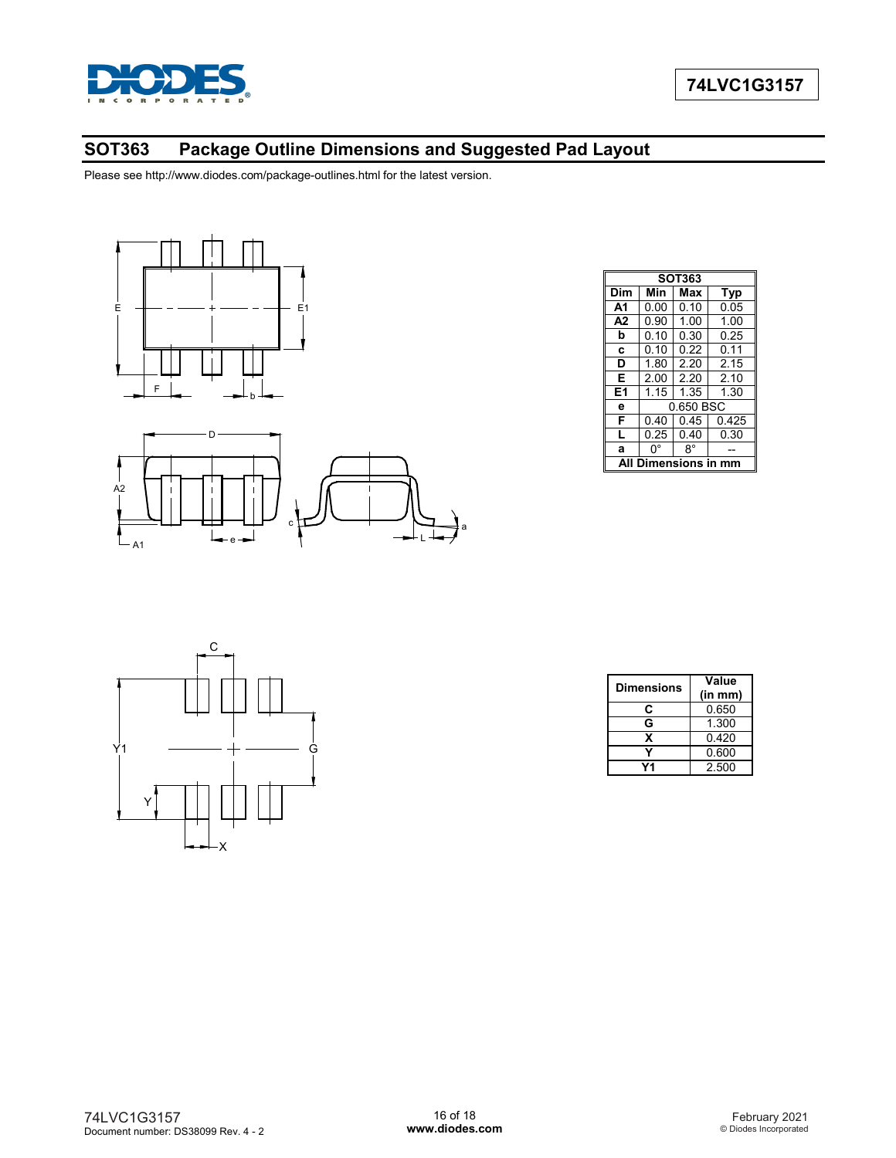

# **SOT363 Package Outline Dimensions and Suggested Pad Layout**

L

 $\circ$  f  $\rightarrow$   $\rightarrow$   $\rightarrow$   $\rightarrow$   $\rightarrow$ 

Please see http://www.diodes.com/package-outlines.html for the latest version.



e

A1

| <b>SOT363</b>          |           |      |            |  |
|------------------------|-----------|------|------------|--|
| Dim                    | Min       | Max  | <b>Typ</b> |  |
| A <sub>1</sub>         | 0.00      | 0.10 | 0.05       |  |
| A <sub>2</sub>         | 0.90      | 1.00 | 1.00       |  |
| b                      | 0.10      | 0.30 | 0.25       |  |
| C                      | 0.10      | 0.22 | 0.11       |  |
| D                      | 1.80      | 2.20 | 2.15       |  |
| Е                      | 2.00      | 2.20 | 2.10       |  |
| E <sub>1</sub>         | 1.15      | 1.35 | 1.30       |  |
| e                      | 0.650 BSC |      |            |  |
| F                      | 0.40      | 0.45 | 0.425      |  |
| L                      | 0.25      | 0.40 | 0.30       |  |
| a                      | 0°        | 8°   |            |  |
| Dimensions in mm<br>ΔI |           |      |            |  |



| <b>Dimensions</b> | Value<br>(in mm) |  |
|-------------------|------------------|--|
| C                 | 0.650            |  |
| G                 | 1.300            |  |
| x                 | 0.420            |  |
|                   | 0.600            |  |
| 74                | 2.500            |  |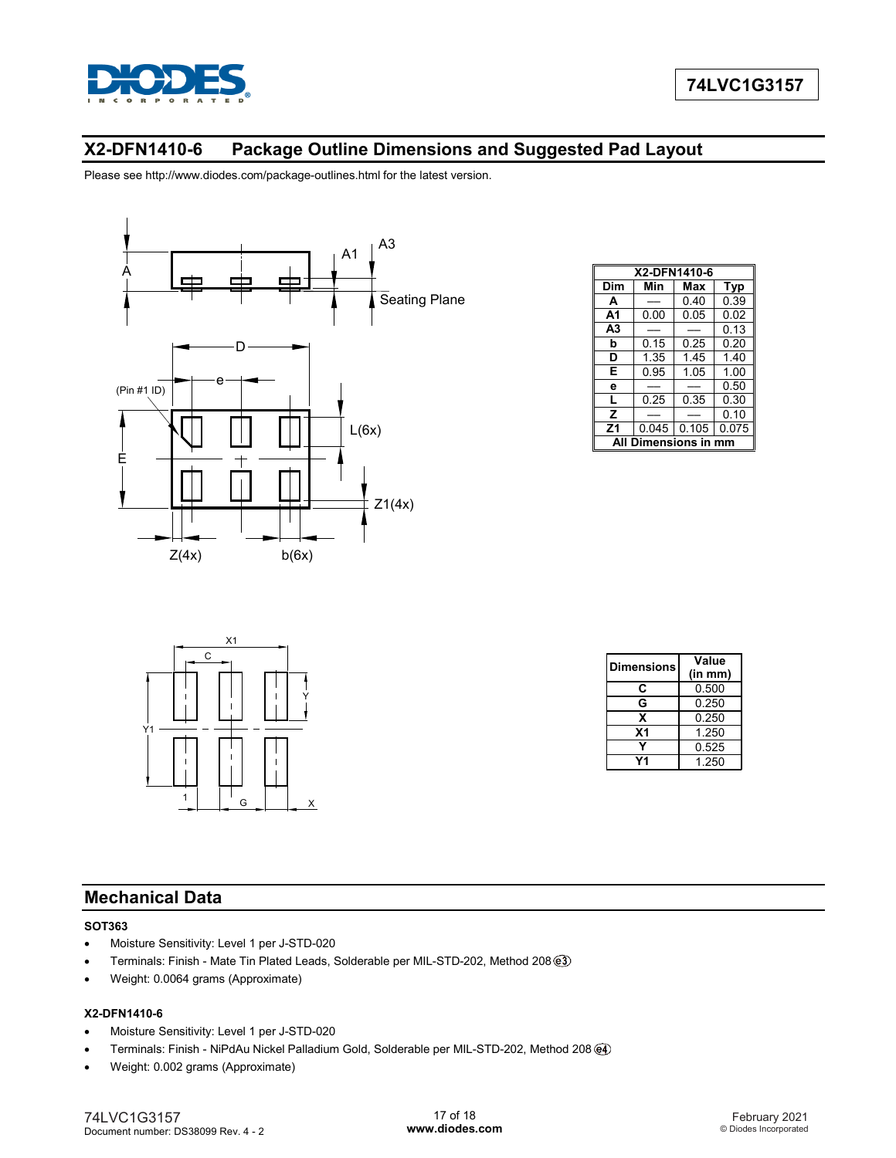

# **X2-DFN1410-6 Package Outline Dimensions and Suggested Pad Layout**

Please see http://www.diodes.com/package-outlines.html for the latest version.



| X2-DFN1410-6        |      |               |       |  |
|---------------------|------|---------------|-------|--|
| Dim                 | Min  | Max           | Typ   |  |
| A                   |      | 0.40          | 0.39  |  |
| A1                  | 0.00 | 0.05          | 0.02  |  |
| A <sub>3</sub>      |      |               | 0.13  |  |
| b                   | 0.15 | 0.25          | 0.20  |  |
| D                   | 1.35 | 1.45          | 1.40  |  |
| Е                   | 0.95 | 1.05          | 1.00  |  |
| e                   |      |               | 0.50  |  |
| L                   | 0.25 | 0.35          | 0.30  |  |
| z                   |      |               | 0.10  |  |
| Z <sub>1</sub>      |      | $0.045$ 0.105 | 0.075 |  |
| Dimensions in<br>mm |      |               |       |  |



| <b>Dimensions</b> | Value   |  |
|-------------------|---------|--|
|                   | (in mm) |  |
| C                 | 0.500   |  |
| G                 | 0.250   |  |
| x                 | 0.250   |  |
| <b>X1</b>         | 1.250   |  |
|                   | 0.525   |  |
| 74                | 1 250   |  |

# **Mechanical Data**

#### **SOT363**

- Moisture Sensitivity: Level 1 per J-STD-020
- Terminals: Finish Mate Tin Plated Leads, Solderable per MIL-STD-202, Method 208
- Weight: 0.0064 grams (Approximate)

#### **X2-DFN1410-6**

- Moisture Sensitivity: Level 1 per J-STD-020
- Terminals: Finish NiPdAu Nickel Palladium Gold, Solderable per MIL-STD-202, Method 208
- Weight: 0.002 grams (Approximate)